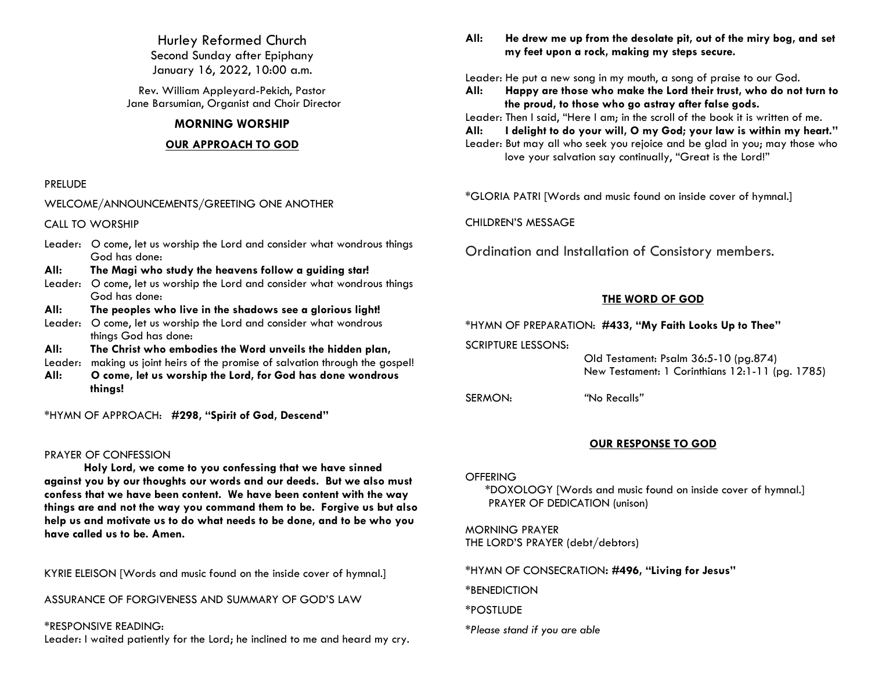Hurley Reformed Church Second Sunday after Epiphany January 16, 2022, 10:00 a.m.

Rev. William Appleyard-Pekich, Pastor Jane Barsumian, Organist and Choir Director

# **MORNING WORSHIP**

## **OUR APPROACH TO GOD**

### PRELUDE

WELCOME/ANNOUNCEMENTS/GREETING ONE ANOTHER

CALL TO WORSHIP

Leader: O come, let us worship the Lord and consider what wondrous things God has done:

**All: The Magi who study the heavens follow a guiding star!**

Leader: O come, let us worship the Lord and consider what wondrous things God has done:

**All: The peoples who live in the shadows see a glorious light!**

- Leader: O come, let us worship the Lord and consider what wondrous things God has done:
- **All: The Christ who embodies the Word unveils the hidden plan,**
- Leader: making us joint heirs of the promise of salvation through the gospel!
- **All: O come, let us worship the Lord, for God has done wondrous things!**

\*HYMN OF APPROACH: **#298, "Spirit of God, Descend"**

#### PRAYER OF CONFESSION

**Holy Lord, we come to you confessing that we have sinned against you by our thoughts our words and our deeds. But we also must confess that we have been content. We have been content with the way things are and not the way you command them to be. Forgive us but also help us and motivate us to do what needs to be done, and to be who you have called us to be. Amen.**

KYRIE ELEISON [Words and music found on the inside cover of hymnal.]

ASSURANCE OF FORGIVENESS AND SUMMARY OF GOD'S LAW

\*RESPONSIVE READING:

Leader: I waited patiently for the Lord; he inclined to me and heard my cry.

**All: He drew me up from the desolate pit, out of the miry bog, and set my feet upon a rock, making my steps secure.**

Leader: He put a new song in my mouth, a song of praise to our God.

**All: Happy are those who make the Lord their trust, who do not turn to the proud, to those who go astray after false gods.**

Leader: Then I said, "Here I am; in the scroll of the book it is written of me.

**All: I delight to do your will, O my God; your law is within my heart."** Leader: But may all who seek you rejoice and be glad in you; may those who love your salvation say continually, "Great is the Lord!"

\*GLORIA PATRI [Words and music found on inside cover of hymnal.]

CHILDREN'S MESSAGE

Ordination and Installation of Consistory members.

# **THE WORD OF GOD**

\*HYMN OF PREPARATION: **#433, "My Faith Looks Up to Thee"**

SCRIPTURE LESSONS:

 Old Testament: Psalm 36:5-10 (pg.874) New Testament: 1 Corinthians 12:1-11 (pg. 1785)

SERMON: *"*No Recalls*"*

## **OUR RESPONSE TO GOD**

## **OFFERING**

\*DOXOLOGY [Words and music found on inside cover of hymnal.] PRAYER OF DEDICATION (unison)

MORNING PRAYER THE LORD'S PRAYER (debt/debtors)

\*HYMN OF CONSECRATION**: #496, "Living for Jesus"**

\*BENEDICTION

\*POSTLUDE

*\*Please stand if you are able*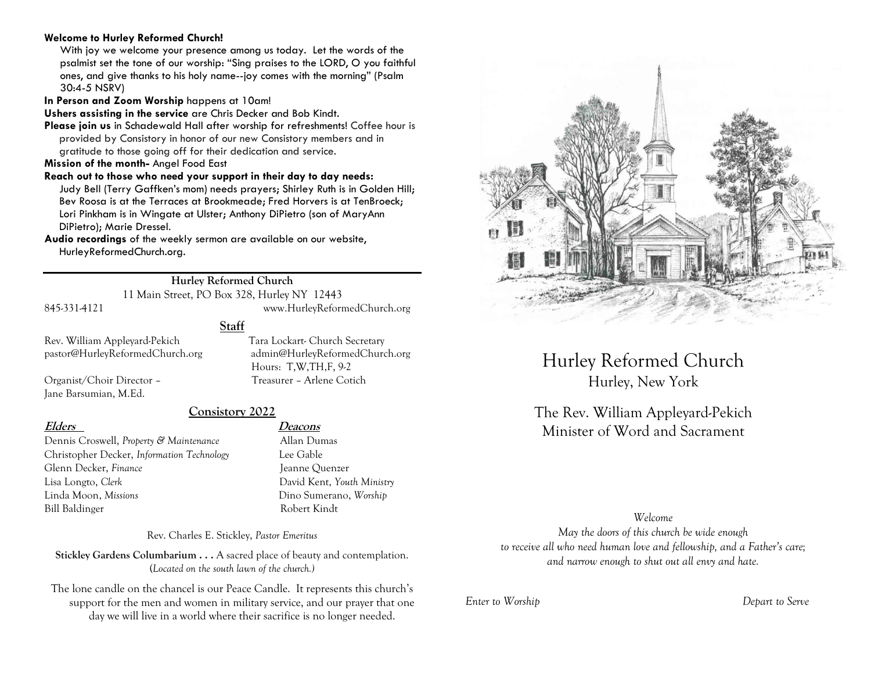# **Welcome to Hurley Reformed Church!**

With joy we welcome your presence among us today. Let the words of the psalmist set the tone of our worship: "Sing praises to the LORD, O you faithful ones, and give thanks to his holy name--joy comes with the morning" (Psalm 30:4-5 NSRV)

**In Person and Zoom Worship** happens at 10am!

**Ushers assisting in the service** are Chris Decker and Bob Kindt.

**Please join us** in Schadewald Hall after worship for refreshments! Coffee hour is provided by Consistory in honor of our new Consistory members and in gratitude to those going off for their dedication and service.

**Mission of the month-** Angel Food East

**Reach out to those who need your support in their day to day needs:**  Judy Bell (Terry Gaffken's mom) needs prayers; Shirley Ruth is in Golden Hill; Bev Roosa is at the Terraces at Brookmeade; Fred Horvers is at TenBroeck; Lori Pinkham is in Wingate at Ulster; Anthony DiPietro (son of MaryAnn DiPietro); Marie Dressel.

**Audio recordings** of the weekly sermon are available on our website, HurleyReformedChurch.org.

# **Hurley Reformed Church**

11 Main Street, PO Box 328, Hurley NY 12443

845-331-4121 www.HurleyReformedChurch.org

**Staff**

Rev. William Appleyard-Pekich Tara Lockart- Church Secretary pastor@HurleyReformedChurch.org admin@HurleyReformedChurch.org

Organist/Choir Director – Treasurer – Arlene Cotich Jane Barsumian, M.Ed.

# **Consistory 2022**

Dennis Croswell, *Property & Maintenance* Allan Dumas Christopher Decker, *Information Technology* Lee Gable Glenn Decker, *Finance* Jeanne Quenzer Lisa Longto, *Clerk* David Kent, *Youth Ministry* Linda Moon, *Missions* Dino Sumerano, *Worship* Bill Baldinger Robert Kindt

**Elders Deacons**

Hours: T,W,TH,F, 9-2

Rev. Charles E. Stickley, *Pastor Emeritus*

**Stickley Gardens Columbarium . . .** A sacred place of beauty and contemplation. (*Located on the south lawn of the church.)* 

The lone candle on the chancel is our Peace Candle. It represents this church's support for the men and women in military service, and our prayer that one day we will live in a world where their sacrifice is no longer needed.



Hurley Reformed Church Hurley, New York

The Rev. William Appleyard-Pekich Minister of Word and Sacrament

## *Welcome*

*May the doors of this church be wide enough to receive all who need human love and fellowship, and a Father's care; and narrow enough to shut out all envy and hate.*

*Enter to Worship Depart to Serve*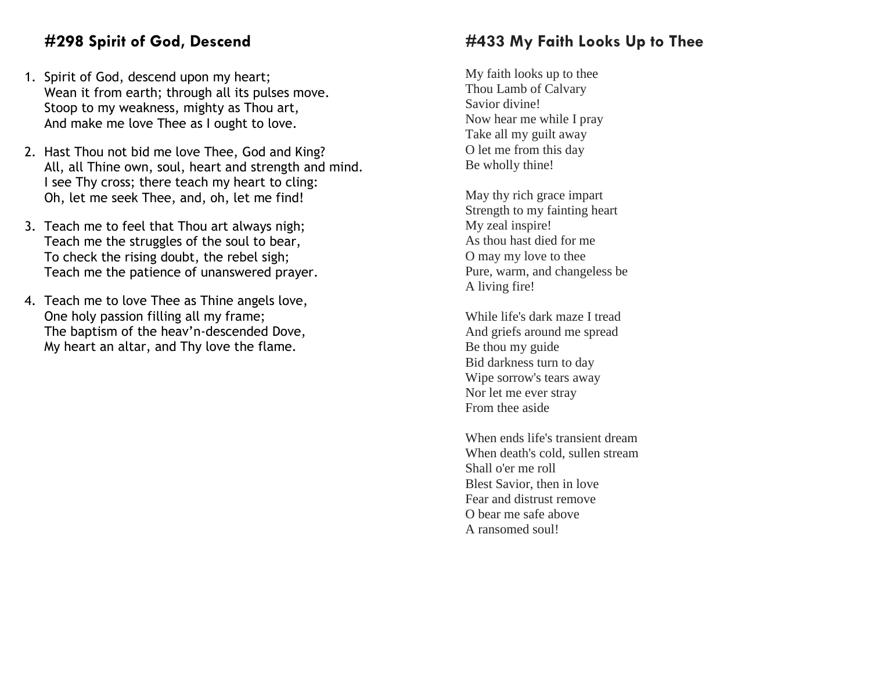# **#298 Spirit of God, Descend**

- 1. Spirit of God, descend upon my heart; Wean it from earth; through all its pulses move. Stoop to my weakness, mighty as Thou art, And make me love Thee as I ought to love.
- 2. Hast Thou not bid me love Thee, God and King? All, all Thine own, soul, heart and strength and mind. I see Thy cross; there teach my heart to cling: Oh, let me seek Thee, and, oh, let me find!
- 3. Teach me to feel that Thou art always nigh; Teach me the struggles of the soul to bear, To check the rising doubt, the rebel sigh; Teach me the patience of unanswered prayer.
- 4. Teach me to love Thee as Thine angels love, One holy passion filling all my frame; The baptism of the heav'n-descended Dove, My heart an altar, and Thy love the flame.

# **#433 My Faith Looks Up to Thee**

My faith looks up to thee Thou Lamb of Calvary Savior divine! Now hear me while I pray Take all my guilt away O let me from this day Be wholly thine!

May thy rich grace impart Strength to my fainting heart My zeal inspire! As thou hast died for me O may my love to thee Pure, warm, and changeless be A living fire!

While life's dark maze I tread And griefs around me spread Be thou my guide Bid darkness turn to day Wipe sorrow's tears away Nor let me ever stray From thee aside

When ends life's transient dream When death's cold, sullen stream Shall o'er me roll Blest Savior, then in love Fear and distrust remove O bear me safe above A ransomed soul!